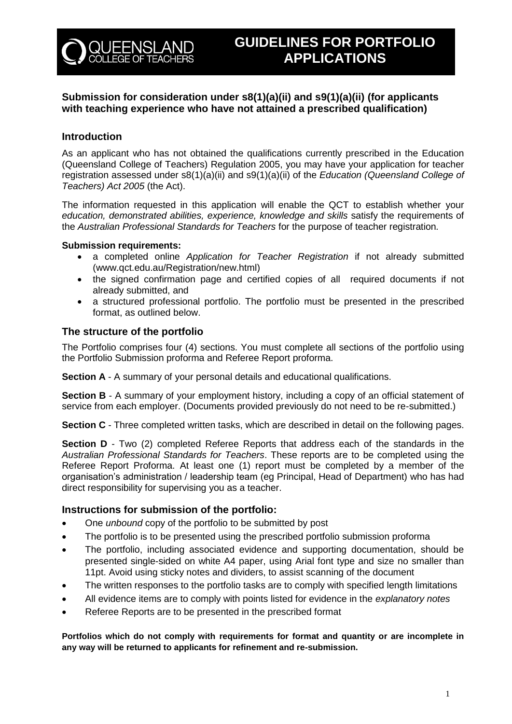

# **Submission for consideration under s8(1)(a)(ii) and s9(1)(a)(ii) (for applicants with teaching experience who have not attained a prescribed qualification)**

# **Introduction**

As an applicant who has not obtained the qualifications currently prescribed in the Education (Queensland College of Teachers) Regulation 2005, you may have your application for teacher registration assessed under s8(1)(a)(ii) and s9(1)(a)(ii) of the *Education (Queensland College of Teachers) Act 2005* (the Act).

The information requested in this application will enable the QCT to establish whether your education, demonstrated abilities, experience, knowledge and skills satisfy the requirements of the *Australian Professional Standards for Teachers* for the purpose of teacher registration*.*

#### **Submission requirements:**

- a completed online *Application for Teacher Registration* if not already submitted (www.qct.edu.au/Registration/new.html)
- the signed confirmation page and certified copies of all required documents if not already submitted, and
- a structured professional portfolio. The portfolio must be presented in the prescribed format, as outlined below.

### **The structure of the portfolio**

The Portfolio comprises four (4) sections. You must complete all sections of the portfolio using the Portfolio Submission proforma and Referee Report proforma.

**Section A** - A summary of your personal details and educational qualifications.

**Section B** - A summary of your employment history, including a copy of an official statement of service from each employer. (Documents provided previously do not need to be re-submitted.)

**Section C** - Three completed written tasks, which are described in detail on the following pages.

**Section D** - Two (2) completed Referee Reports that address each of the standards in the *Australian Professional Standards for Teachers*. These reports are to be completed using the Referee Report Proforma. At least one (1) report must be completed by a member of the organisation's administration / leadership team (eg Principal, Head of Department) who has had direct responsibility for supervising you as a teacher.

### **Instructions for submission of the portfolio:**

- One *unbound* copy of the portfolio to be submitted by post
- The portfolio is to be presented using the prescribed portfolio submission proforma
- The portfolio, including associated evidence and supporting documentation, should be presented single-sided on white A4 paper, using Arial font type and size no smaller than 11pt. Avoid using sticky notes and dividers, to assist scanning of the document
- The written responses to the portfolio tasks are to comply with specified length limitations
- All evidence items are to comply with points listed for evidence in the *explanatory notes*
- Referee Reports are to be presented in the prescribed format

**Portfolios which do not comply with requirements for format and quantity or are incomplete in any way will be returned to applicants for refinement and re-submission.**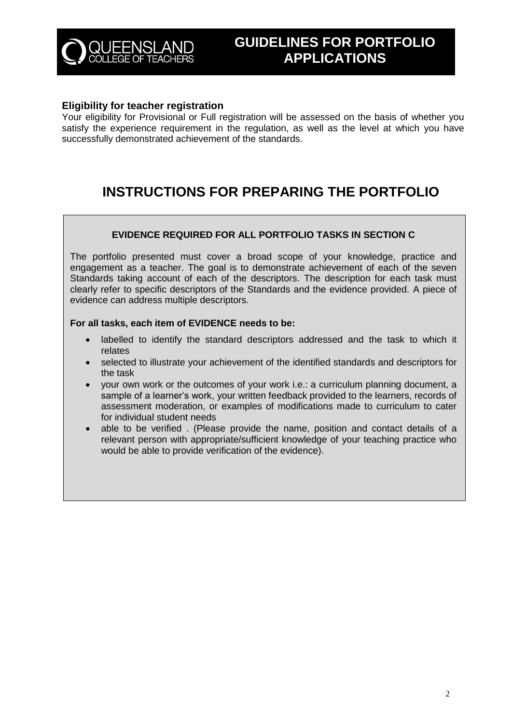

### **Eligibility for teacher registration**

Your eligibility for Provisional or Full registration will be assessed on the basis of whether you satisfy the experience requirement in the regulation, as well as the level at which you have successfully demonstrated achievement of the standards.

# **INSTRUCTIONS FOR PREPARING THE PORTFOLIO**

### **EVIDENCE REQUIRED FOR ALL PORTFOLIO TASKS IN SECTION C**

The portfolio presented must cover a broad scope of your knowledge, practice and engagement as a teacher. The goal is to demonstrate achievement of each of the seven Standards taking account of each of the descriptors. The description for each task must clearly refer to specific descriptors of the Standards and the evidence provided. A piece of evidence can address multiple descriptors.

### **For all tasks, each item of EVIDENCE needs to be:**

- labelled to identify the standard descriptors addressed and the task to which it relates
- selected to illustrate your achievement of the identified standards and descriptors for the task
- your own work or the outcomes of your work i.e.: a curriculum planning document, a sample of a learner's work, your written feedback provided to the learners, records of assessment moderation, or examples of modifications made to curriculum to cater for individual student needs
- able to be verified . (Please provide the name, position and contact details of a relevant person with appropriate/sufficient knowledge of your teaching practice who would be able to provide verification of the evidence).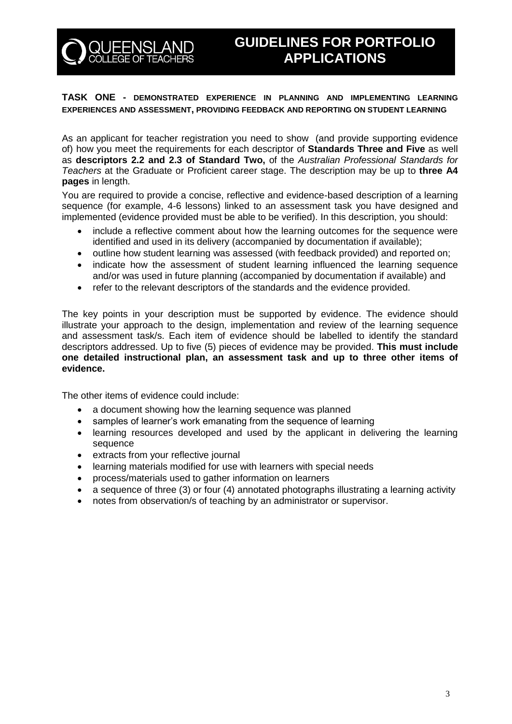

# **GUIDELINES FOR PORTFOLIO APPLICATIONS**

## **TASK ONE - DEMONSTRATED EXPERIENCE IN PLANNING AND IMPLEMENTING LEARNING EXPERIENCES AND ASSESSMENT, PROVIDING FEEDBACK AND REPORTING ON STUDENT LEARNING**

As an applicant for teacher registration you need to show (and provide supporting evidence of) how you meet the requirements for each descriptor of **Standards Three and Five** as well as **descriptors 2.2 and 2.3 of Standard Two,** of the *Australian Professional Standards for Teachers* at the Graduate or Proficient career stage. The description may be up to **three A4 pages** in length.

You are required to provide a concise, reflective and evidence-based description of a learning sequence (for example, 4-6 lessons) linked to an assessment task you have designed and implemented (evidence provided must be able to be verified). In this description, you should:

- include a reflective comment about how the learning outcomes for the sequence were identified and used in its delivery (accompanied by documentation if available);
- outline how student learning was assessed (with feedback provided) and reported on;
- indicate how the assessment of student learning influenced the learning sequence and/or was used in future planning (accompanied by documentation if available) and
- refer to the relevant descriptors of the standards and the evidence provided.

The key points in your description must be supported by evidence. The evidence should illustrate your approach to the design, implementation and review of the learning sequence and assessment task/s. Each item of evidence should be labelled to identify the standard descriptors addressed. Up to five (5) pieces of evidence may be provided. **This must include one detailed instructional plan, an assessment task and up to three other items of evidence.**

The other items of evidence could include:

- a document showing how the learning sequence was planned
- samples of learner's work emanating from the sequence of learning
- learning resources developed and used by the applicant in delivering the learning sequence
- extracts from your reflective journal
- learning materials modified for use with learners with special needs
- process/materials used to gather information on learners
- a sequence of three (3) or four (4) annotated photographs illustrating a learning activity
- notes from observation/s of teaching by an administrator or supervisor.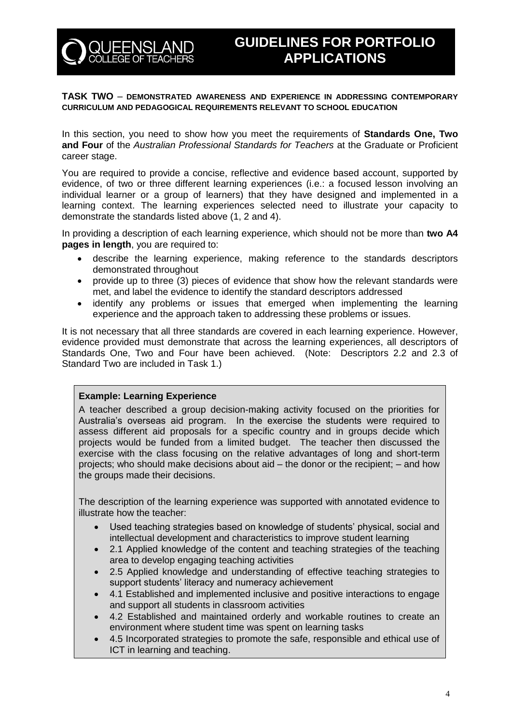

#### **TASK TWO** – **DEMONSTRATED AWARENESS AND EXPERIENCE IN ADDRESSING CONTEMPORARY CURRICULUM AND PEDAGOGICAL REQUIREMENTS RELEVANT TO SCHOOL EDUCATION**

In this section, you need to show how you meet the requirements of **Standards One, Two and Four** of the *Australian Professional Standards for Teachers* at the Graduate or Proficient career stage.

You are required to provide a concise, reflective and evidence based account, supported by evidence, of two or three different learning experiences (i.e.: a focused lesson involving an individual learner or a group of learners) that they have designed and implemented in a learning context. The learning experiences selected need to illustrate your capacity to demonstrate the standards listed above (1, 2 and 4).

In providing a description of each learning experience, which should not be more than **two A4 pages in length**, you are required to:

- describe the learning experience, making reference to the standards descriptors demonstrated throughout
- provide up to three (3) pieces of evidence that show how the relevant standards were met, and label the evidence to identify the standard descriptors addressed
- identify any problems or issues that emerged when implementing the learning experience and the approach taken to addressing these problems or issues.

It is not necessary that all three standards are covered in each learning experience. However, evidence provided must demonstrate that across the learning experiences, all descriptors of Standards One, Two and Four have been achieved. (Note: Descriptors 2.2 and 2.3 of Standard Two are included in Task 1.)

#### **Example: Learning Experience**

A teacher described a group decision-making activity focused on the priorities for Australia's overseas aid program. In the exercise the students were required to assess different aid proposals for a specific country and in groups decide which projects would be funded from a limited budget. The teacher then discussed the exercise with the class focusing on the relative advantages of long and short-term projects; who should make decisions about aid – the donor or the recipient; – and how the groups made their decisions.

The description of the learning experience was supported with annotated evidence to illustrate how the teacher:

- Used teaching strategies based on knowledge of students' physical, social and intellectual development and characteristics to improve student learning
- 2.1 Applied knowledge of the content and teaching strategies of the teaching area to develop engaging teaching activities
- 2.5 Applied knowledge and understanding of effective teaching strategies to support students' literacy and numeracy achievement
- 4.1 Established and implemented inclusive and positive interactions to engage and support all students in classroom activities
- 4.2 Established and maintained orderly and workable routines to create an environment where student time was spent on learning tasks
- 4.5 Incorporated strategies to promote the safe, responsible and ethical use of ICT in learning and teaching.